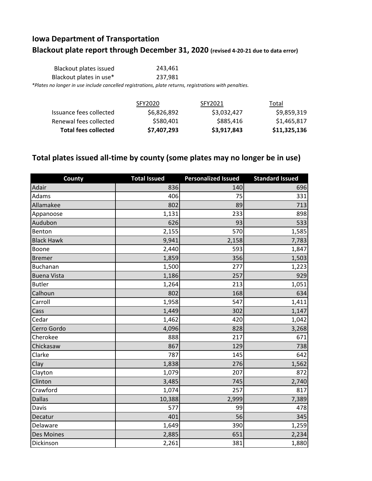## **Iowa Department of Transportation Blackout plate report through December 31, 2020 (revised 4-20-21 due to data error)**

Blackout plates issued 243,461 Blackout plates in use\* 237,981 *\*Plates no longer in use include cancelled registrations, plate returns, registrations with penalties.*

|                             | SFY2020     | SFY2021     | Total        |
|-----------------------------|-------------|-------------|--------------|
| Issuance fees collected     | \$6,826,892 | \$3,032,427 | \$9,859,319  |
| Renewal fees collected      | \$580,401   | \$885,416   | \$1,465,817  |
| <b>Total fees collected</b> | \$7,407,293 | \$3,917,843 | \$11,325,136 |

## **Total plates issued all-time by county (some plates may no longer be in use)**

| County             | <b>Total Issued</b> | <b>Personalized Issued</b> | <b>Standard Issued</b> |
|--------------------|---------------------|----------------------------|------------------------|
| Adair              | 836                 | 140                        | 696                    |
| Adams              | 406                 | 75                         | 331                    |
| Allamakee          | 802                 | 89                         | 713                    |
| Appanoose          | 1,131               | 233                        | 898                    |
| Audubon            | 626                 | 93                         | 533                    |
| Benton             | 2,155               | 570                        | 1,585                  |
| <b>Black Hawk</b>  | 9,941               | 2,158                      | 7,783                  |
| Boone              | 2,440               | 593                        | 1,847                  |
| <b>Bremer</b>      | 1,859               | 356                        | 1,503                  |
| <b>Buchanan</b>    | 1,500               | 277                        | 1,223                  |
| <b>Buena Vista</b> | 1,186               | 257                        | 929                    |
| <b>Butler</b>      | 1,264               | 213                        | 1,051                  |
| Calhoun            | 802                 | 168                        | 634                    |
| Carroll            | 1,958               | 547                        | 1,411                  |
| Cass               | 1,449               | 302                        | 1,147                  |
| Cedar              | 1,462               | 420                        | 1,042                  |
| Cerro Gordo        | 4,096               | 828                        | 3,268                  |
| Cherokee           | 888                 | 217                        | 671                    |
| Chickasaw          | 867                 | 129                        | 738                    |
| Clarke             | 787                 | 145                        | 642                    |
| Clay               | 1,838               | 276                        | 1,562                  |
| Clayton            | 1,079               | 207                        | 872                    |
| Clinton            | 3,485               | 745                        | 2,740                  |
| Crawford           | 1,074               | 257                        | 817                    |
| <b>Dallas</b>      | 10,388              | 2,999                      | 7,389                  |
| Davis              | 577                 | 99                         | 478                    |
| Decatur            | 401                 | 56                         | 345                    |
| Delaware           | 1,649               | 390                        | 1,259                  |
| Des Moines         | 2,885               | 651                        | 2,234                  |
| Dickinson          | 2,261               | 381                        | 1,880                  |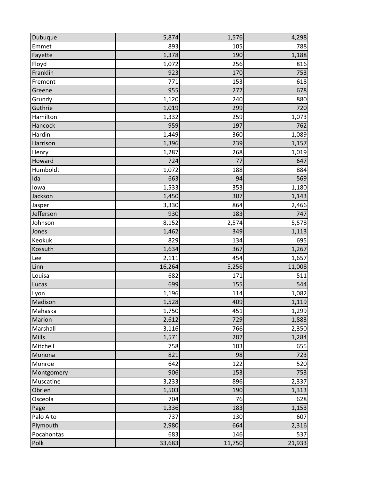| Dubuque    | 5,874  | 1,576  | 4,298  |
|------------|--------|--------|--------|
| Emmet      | 893    | 105    | 788    |
| Fayette    | 1,378  | 190    | 1,188  |
| Floyd      | 1,072  | 256    | 816    |
| Franklin   | 923    | 170    | 753    |
| Fremont    | 771    | 153    | 618    |
| Greene     | 955    | 277    | 678    |
| Grundy     | 1,120  | 240    | 880    |
| Guthrie    | 1,019  | 299    | 720    |
| Hamilton   | 1,332  | 259    | 1,073  |
| Hancock    | 959    | 197    | 762    |
| Hardin     | 1,449  | 360    | 1,089  |
| Harrison   | 1,396  | 239    | 1,157  |
| Henry      | 1,287  | 268    | 1,019  |
| Howard     | 724    | 77     | 647    |
| Humboldt   | 1,072  | 188    | 884    |
| Ida        | 663    | 94     | 569    |
| lowa       | 1,533  | 353    | 1,180  |
| Jackson    | 1,450  | 307    | 1,143  |
| Jasper     | 3,330  | 864    | 2,466  |
| Jefferson  | 930    | 183    | 747    |
| Johnson    | 8,152  | 2,574  | 5,578  |
| Jones      | 1,462  | 349    | 1,113  |
| Keokuk     | 829    | 134    | 695    |
| Kossuth    | 1,634  | 367    | 1,267  |
| Lee        | 2,111  | 454    | 1,657  |
| Linn       | 16,264 | 5,256  | 11,008 |
| Louisa     | 682    | 171    | 511    |
| Lucas      | 699    | 155    | 544    |
| Lyon       | 1,196  | 114    | 1,082  |
| Madison    | 1,528  | 409    | 1,119  |
| Mahaska    | 1,750  | 451    | 1,299  |
| Marion     | 2,612  | 729    | 1,883  |
| Marshall   | 3,116  | 766    | 2,350  |
| Mills      | 1,571  | 287    | 1,284  |
| Mitchell   | 758    | 103    | 655    |
| Monona     | 821    | 98     | 723    |
| Monroe     | 642    | 122    | 520    |
| Montgomery | 906    | 153    | 753    |
| Muscatine  | 3,233  | 896    | 2,337  |
| Obrien     | 1,503  | 190    | 1,313  |
| Osceola    | 704    | 76     | 628    |
| Page       | 1,336  | 183    | 1,153  |
| Palo Alto  | 737    | 130    | 607    |
| Plymouth   | 2,980  | 664    | 2,316  |
| Pocahontas | 683    | 146    | 537    |
| Polk       | 33,683 | 11,750 | 21,933 |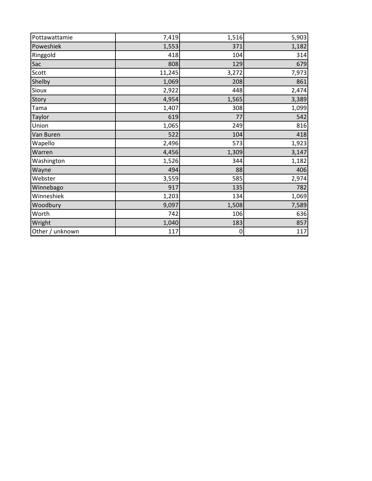| Pottawattamie   | 7,419  | 1,516 | 5,903 |
|-----------------|--------|-------|-------|
| Poweshiek       | 1,553  | 371   | 1,182 |
| Ringgold        | 418    | 104   | 314   |
| Sac             | 808    | 129   | 679   |
| Scott           | 11,245 | 3,272 | 7,973 |
| Shelby          | 1,069  | 208   | 861   |
| Sioux           | 2,922  | 448   | 2,474 |
| Story           | 4,954  | 1,565 | 3,389 |
| Tama            | 1,407  | 308   | 1,099 |
| Taylor          | 619    | 77    | 542   |
| Union           | 1,065  | 249   | 816   |
| Van Buren       | 522    | 104   | 418   |
| Wapello         | 2,496  | 573   | 1,923 |
| Warren          | 4,456  | 1,309 | 3,147 |
| Washington      | 1,526  | 344   | 1,182 |
| Wayne           | 494    | 88    | 406   |
| Webster         | 3,559  | 585   | 2,974 |
| Winnebago       | 917    | 135   | 782   |
| Winneshiek      | 1,203  | 134   | 1,069 |
| Woodbury        | 9,097  | 1,508 | 7,589 |
| Worth           | 742    | 106   | 636   |
| Wright          | 1,040  | 183   | 857   |
| Other / unknown | 117    | 0     | 117   |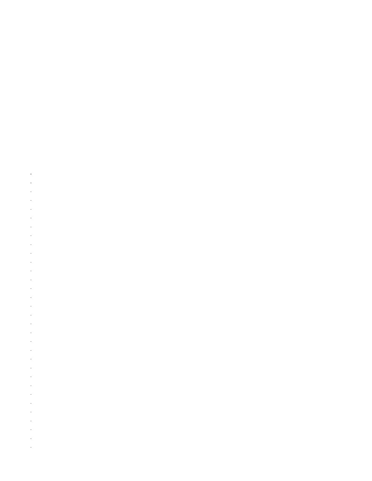- 
- 
- 
- 
- 
- 
- 
- 
- 
- 
- 
- 
- -
	-
	-
- 
- 
- -
- 
- 
- 
- 
- -
- - -
- -
	- -
		-
		-
- 
- 
- 
- 
- -
- 
- 
- -
	-
- - -
- 
- 
- 
- 
- 
- -
- -
- 
- -
	- -
		- - -
		-
- -
- 
- 
-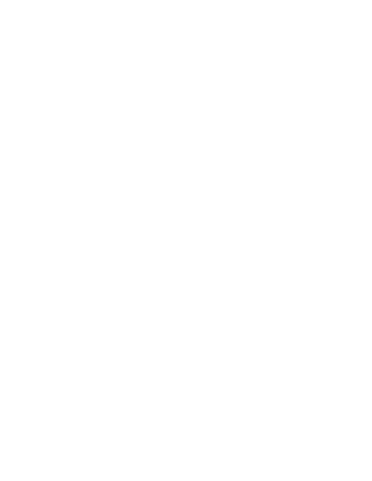- 
- 
- 
- 
- 
- 
- 
- 
- 
- 
- 
- 
- 
- 
- 
- 
- 
- 
- 
- 
- 
- 
- 
- 
- 
- 
- 
- 
- 
- 
- 
- 
- 
- 
- 
- 
- 
- 
- 
- 
- 
- 
- - -